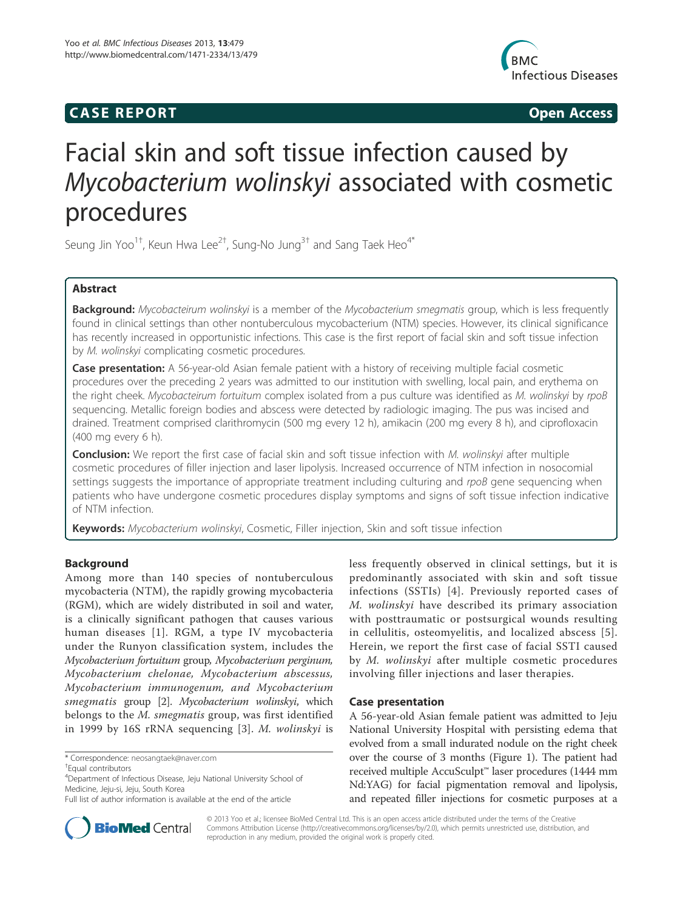## **CASE REPORT CASE REPORT**



# Facial skin and soft tissue infection caused by Mycobacterium wolinskyi associated with cosmetic procedures

Seung Jin Yoo $^{1\dagger}$ , Keun Hwa Lee $^{2\dagger}$ , Sung-No Jung $^{3\dagger}$  and Sang Taek Heo $^{4*}$ 

## Abstract

Background: Mycobacteirum wolinskyi is a member of the Mycobacterium smegmatis group, which is less frequently found in clinical settings than other nontuberculous mycobacterium (NTM) species. However, its clinical significance has recently increased in opportunistic infections. This case is the first report of facial skin and soft tissue infection by M. wolinskyi complicating cosmetic procedures.

Case presentation: A 56-year-old Asian female patient with a history of receiving multiple facial cosmetic procedures over the preceding 2 years was admitted to our institution with swelling, local pain, and erythema on the right cheek. Mycobacteirum fortuitum complex isolated from a pus culture was identified as M. wolinskyi by rpoB sequencing. Metallic foreign bodies and abscess were detected by radiologic imaging. The pus was incised and drained. Treatment comprised clarithromycin (500 mg every 12 h), amikacin (200 mg every 8 h), and ciprofloxacin (400 mg every 6 h).

Conclusion: We report the first case of facial skin and soft tissue infection with M. wolinskyi after multiple cosmetic procedures of filler injection and laser lipolysis. Increased occurrence of NTM infection in nosocomial settings suggests the importance of appropriate treatment including culturing and rpoB gene sequencing when patients who have undergone cosmetic procedures display symptoms and signs of soft tissue infection indicative of NTM infection.

Keywords: Mycobacterium wolinskyi, Cosmetic, Filler injection, Skin and soft tissue infection

## Background

Among more than 140 species of nontuberculous mycobacteria (NTM), the rapidly growing mycobacteria (RGM), which are widely distributed in soil and water, is a clinically significant pathogen that causes various human diseases [1]. RGM, a type IV mycobacteria under the Runyon classification system, includes the Mycobacterium fortuitum group, Mycobacterium perginum, Mycobacterium chelonae, Mycobacterium abscessus, Mycobacterium immunogenum, and Mycobacterium smegmatis group [2]. Mycobacterium wolinskyi, which belongs to the M. smegmatis group, was first identified in 1999 by 16S rRNA sequencing [3]. M. wolinskyi is

\* Correspondence: neosangtaek@naver.com †

Equal contributors

4 Department of Infectious Disease, Jeju National University School of Medicine, Jeju-si, Jeju, South Korea

less frequently observed in clinical settings, but it is predominantly associated with skin and soft tissue infections (SSTIs) [4]. Previously reported cases of M. wolinskyi have described its primary association with posttraumatic or postsurgical wounds resulting in cellulitis, osteomyelitis, and localized abscess [5]. Herein, we report the first case of facial SSTI caused by M. wolinskyi after multiple cosmetic procedures involving filler injections and laser therapies.

## Case presentation

A 56-year-old Asian female patient was admitted to Jeju National University Hospital with persisting edema that evolved from a small indurated nodule on the right cheek over the course of 3 months (Figure 1). The patient had received multiple AccuSculpt™ laser procedures (1444 mm Nd:YAG) for facial pigmentation removal and lipolysis, and repeated filler injections for cosmetic purposes at a



© 2013 Yoo et al.; licensee BioMed Central Ltd. This is an open access article distributed under the terms of the Creative Commons Attribution License (http://creativecommons.org/licenses/by/2.0), which permits unrestricted use, distribution, and reproduction in any medium, provided the original work is properly cited.

Full list of author information is available at the end of the article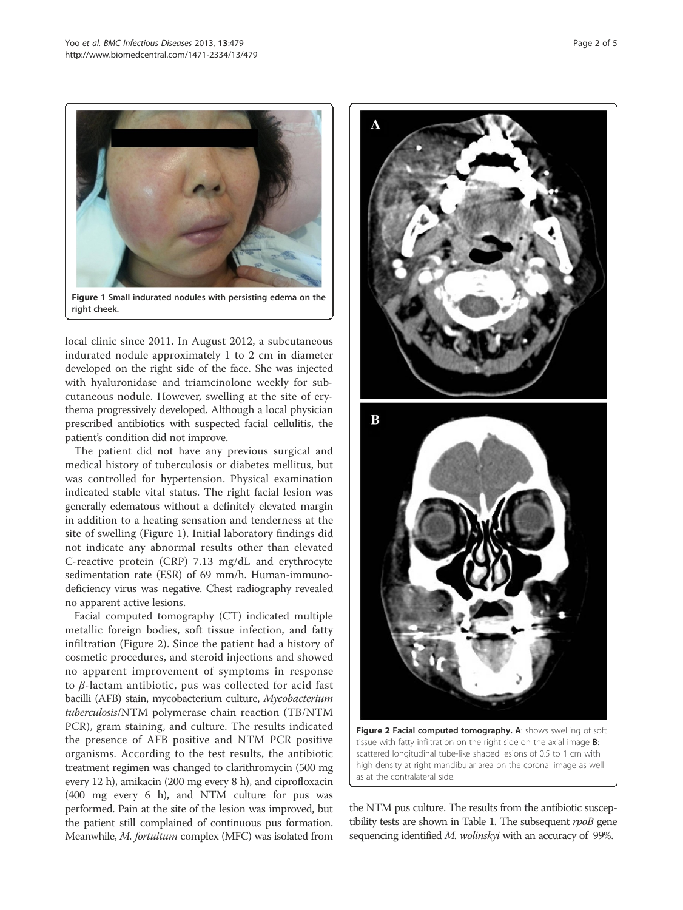

local clinic since 2011. In August 2012, a subcutaneous indurated nodule approximately 1 to 2 cm in diameter developed on the right side of the face. She was injected with hyaluronidase and triamcinolone weekly for subcutaneous nodule. However, swelling at the site of erythema progressively developed. Although a local physician prescribed antibiotics with suspected facial cellulitis, the patient's condition did not improve.

The patient did not have any previous surgical and medical history of tuberculosis or diabetes mellitus, but was controlled for hypertension. Physical examination indicated stable vital status. The right facial lesion was generally edematous without a definitely elevated margin in addition to a heating sensation and tenderness at the site of swelling (Figure 1). Initial laboratory findings did not indicate any abnormal results other than elevated C-reactive protein (CRP) 7.13 mg/dL and erythrocyte sedimentation rate (ESR) of 69 mm/h. Human-immunodeficiency virus was negative. Chest radiography revealed no apparent active lesions.

Facial computed tomography (CT) indicated multiple metallic foreign bodies, soft tissue infection, and fatty infiltration (Figure 2). Since the patient had a history of cosmetic procedures, and steroid injections and showed no apparent improvement of symptoms in response to β-lactam antibiotic, pus was collected for acid fast bacilli (AFB) stain, mycobacterium culture, Mycobacterium tuberculosis/NTM polymerase chain reaction (TB/NTM PCR), gram staining, and culture. The results indicated the presence of AFB positive and NTM PCR positive organisms. According to the test results, the antibiotic treatment regimen was changed to clarithromycin (500 mg every 12 h), amikacin (200 mg every 8 h), and ciprofloxacin (400 mg every 6 h), and NTM culture for pus was performed. Pain at the site of the lesion was improved, but the patient still complained of continuous pus formation. Meanwhile, M. fortuitum complex (MFC) was isolated from



Figure 2 Facial computed tomography. A: shows swelling of soft tissue with fatty infiltration on the right side on the axial image B: scattered longitudinal tube-like shaped lesions of 0.5 to 1 cm with high density at right mandibular area on the coronal image as well as at the contralateral side.

the NTM pus culture. The results from the antibiotic susceptibility tests are shown in Table 1. The subsequent rpoB gene sequencing identified *M. wolinskyi* with an accuracy of 99%.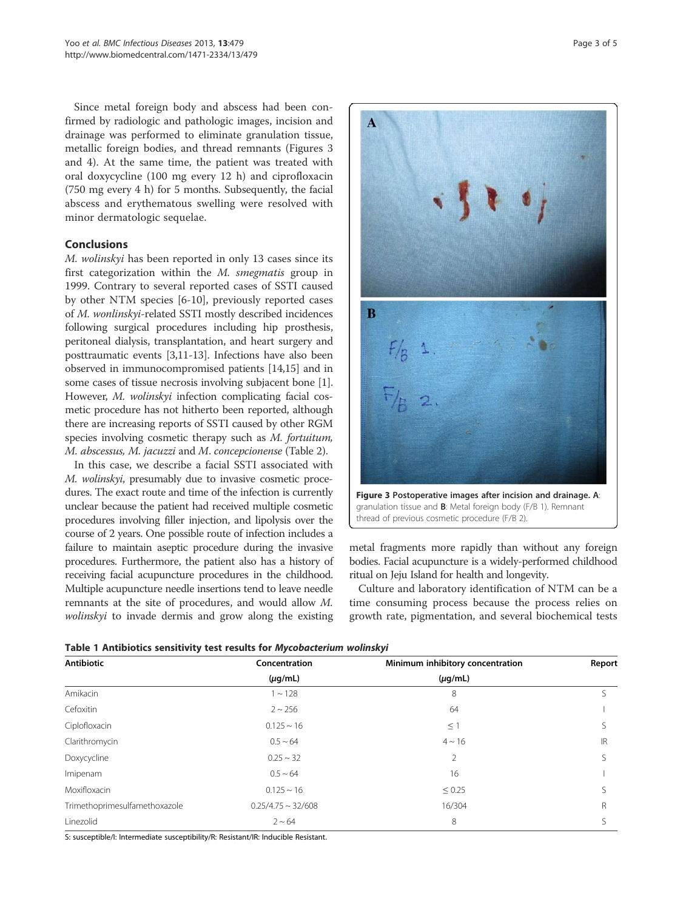Since metal foreign body and abscess had been confirmed by radiologic and pathologic images, incision and drainage was performed to eliminate granulation tissue, metallic foreign bodies, and thread remnants (Figures 3 and 4). At the same time, the patient was treated with oral doxycycline (100 mg every 12 h) and ciprofloxacin (750 mg every 4 h) for 5 months. Subsequently, the facial abscess and erythematous swelling were resolved with minor dermatologic sequelae.

## **Conclusions**

M. wolinskyi has been reported in only 13 cases since its first categorization within the M. smegmatis group in 1999. Contrary to several reported cases of SSTI caused by other NTM species [6-10], previously reported cases of M. wonlinskyi-related SSTI mostly described incidences following surgical procedures including hip prosthesis, peritoneal dialysis, transplantation, and heart surgery and posttraumatic events [3,11-13]. Infections have also been observed in immunocompromised patients [14,15] and in some cases of tissue necrosis involving subjacent bone [1]. However, M. wolinskyi infection complicating facial cosmetic procedure has not hitherto been reported, although there are increasing reports of SSTI caused by other RGM species involving cosmetic therapy such as M. fortuitum, M. abscessus, M. jacuzzi and M. concepcionense (Table 2).

In this case, we describe a facial SSTI associated with M. wolinskyi, presumably due to invasive cosmetic procedures. The exact route and time of the infection is currently unclear because the patient had received multiple cosmetic procedures involving filler injection, and lipolysis over the course of 2 years. One possible route of infection includes a failure to maintain aseptic procedure during the invasive procedures. Furthermore, the patient also has a history of receiving facial acupuncture procedures in the childhood. Multiple acupuncture needle insertions tend to leave needle remnants at the site of procedures, and would allow M. wolinskyi to invade dermis and grow along the existing



thread of previous cosmetic procedure (F/B 2).

metal fragments more rapidly than without any foreign bodies. Facial acupuncture is a widely-performed childhood ritual on Jeju Island for health and longevity.

Culture and laboratory identification of NTM can be a time consuming process because the process relies on growth rate, pigmentation, and several biochemical tests

|  |  |  |  |  | Table 1 Antibiotics sensitivity test results for Mycobacterium wolinskyi |  |
|--|--|--|--|--|--------------------------------------------------------------------------|--|
|--|--|--|--|--|--------------------------------------------------------------------------|--|

| Antibiotic                    | Concentration           | Minimum inhibitory concentration | Report |  |
|-------------------------------|-------------------------|----------------------------------|--------|--|
|                               | $(\mu g/mL)$            | $(\mu g/mL)$                     |        |  |
| Amikacin                      | $1 - 128$               | 8                                |        |  |
| Cefoxitin                     | $2 \sim 256$            | 64                               |        |  |
| Ciplofloxacin                 | $0.125 \sim 16$         | $\leq$ 1                         |        |  |
| Clarithromycin                | $0.5 \sim 64$           | $4 \sim 16$                      | IR     |  |
| Doxycycline                   | $0.25 \sim 32$          | $\overline{2}$                   |        |  |
| Imipenam                      | $0.5 \sim 64$           | 16                               |        |  |
| Moxifloxacin                  | $0.125 \sim 16$         | $\leq 0.25$                      |        |  |
| Trimethoprimesulfamethoxazole | $0.25/4.75 \sim 32/608$ | 16/304                           | R      |  |
| Linezolid                     | $2 \sim 64$             | 8                                |        |  |

S: susceptible/I: Intermediate susceptibility/R: Resistant/IR: Inducible Resistant.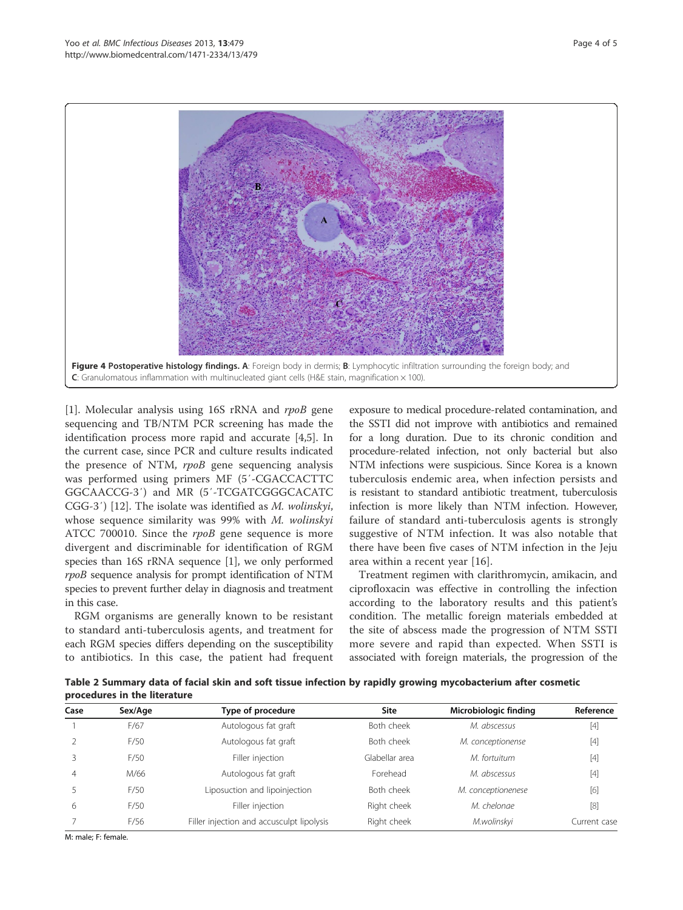

[1]. Molecular analysis using 16S rRNA and rpoB gene sequencing and TB/NTM PCR screening has made the identification process more rapid and accurate [4,5]. In the current case, since PCR and culture results indicated the presence of NTM, rpoB gene sequencing analysis was performed using primers MF (5′-CGACCACTTC GGCAACCG-3′) and MR (5′-TCGATCGGGCACATC CGG-3′) [12]. The isolate was identified as M. wolinskyi, whose sequence similarity was 99% with M. wolinskyi ATCC 700010. Since the *rpoB* gene sequence is more divergent and discriminable for identification of RGM species than 16S rRNA sequence [1], we only performed rpoB sequence analysis for prompt identification of NTM species to prevent further delay in diagnosis and treatment in this case.

RGM organisms are generally known to be resistant to standard anti-tuberculosis agents, and treatment for each RGM species differs depending on the susceptibility to antibiotics. In this case, the patient had frequent

exposure to medical procedure-related contamination, and the SSTI did not improve with antibiotics and remained for a long duration. Due to its chronic condition and procedure-related infection, not only bacterial but also NTM infections were suspicious. Since Korea is a known tuberculosis endemic area, when infection persists and is resistant to standard antibiotic treatment, tuberculosis infection is more likely than NTM infection. However, failure of standard anti-tuberculosis agents is strongly suggestive of NTM infection. It was also notable that there have been five cases of NTM infection in the Jeju area within a recent year [16].

Treatment regimen with clarithromycin, amikacin, and ciprofloxacin was effective in controlling the infection according to the laboratory results and this patient's condition. The metallic foreign materials embedded at the site of abscess made the progression of NTM SSTI more severe and rapid than expected. When SSTI is associated with foreign materials, the progression of the

Table 2 Summary data of facial skin and soft tissue infection by rapidly growing mycobacterium after cosmetic procedures in the literature

| Case | Sex/Age | Type of procedure                         | Site           | Microbiologic finding | Reference    |
|------|---------|-------------------------------------------|----------------|-----------------------|--------------|
|      | F/67    | Autologous fat graft                      | Both cheek     | M. abscessus          | $[4]$        |
|      | F/50    | Autologous fat graft                      | Both cheek     | M. conceptionense     | $[4]$        |
|      | F/50    | Filler injection                          | Glabellar area | M. fortuitum          | $[4]$        |
|      | M/66    | Autologous fat graft                      | Forehead       | M. abscessus          | $[4]$        |
|      | F/50    | Liposuction and lipoinjection             | Both cheek     | M. conceptionenese    | [6]          |
| 6    | F/50    | Filler injection                          | Right cheek    | M. chelonge           | $[8]$        |
|      | F/56    | Filler injection and accusculpt lipolysis | Right cheek    | M.wolinskyi           | Current case |

M: male; F: female.